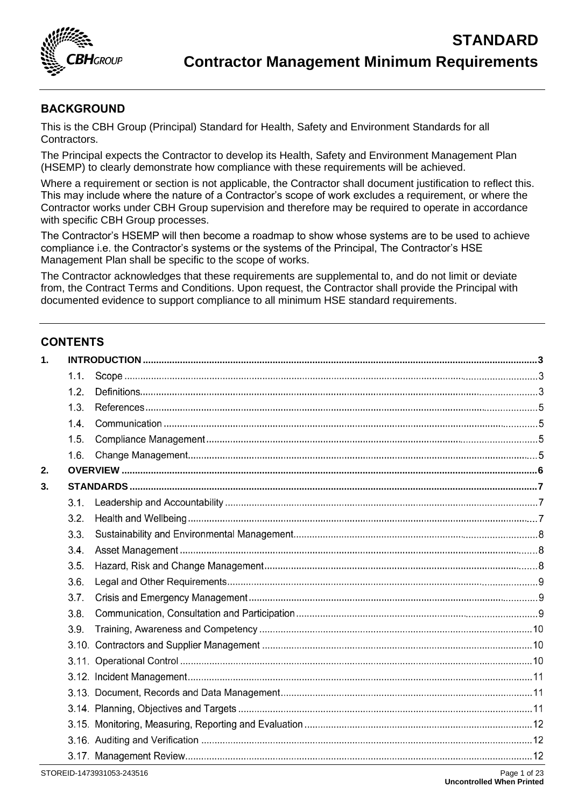

### **BACKGROUND**

This is the CBH Group (Principal) Standard for Health, Safety and Environment Standards for all Contractors.

The Principal expects the Contractor to develop its Health, Safety and Environment Management Plan (HSEMP) to clearly demonstrate how compliance with these requirements will be achieved.

Where a requirement or section is not applicable, the Contractor shall document justification to reflect this. This may include where the nature of a Contractor's scope of work excludes a requirement, or where the Contractor works under CBH Group supervision and therefore may be required to operate in accordance with specific CBH Group processes.

The Contractor's HSEMP will then become a roadmap to show whose systems are to be used to achieve compliance i.e. the Contractor's systems or the systems of the Principal, The Contractor's HSE Management Plan shall be specific to the scope of works.

The Contractor acknowledges that these requirements are supplemental to, and do not limit or deviate from, the Contract Terms and Conditions. Upon request, the Contractor shall provide the Principal with documented evidence to support compliance to all minimum HSE standard requirements.

### **CONTENTS**

| $\mathbf 1$ . |      |  |
|---------------|------|--|
|               | 1.1. |  |
|               | 1.2. |  |
|               | 1.3. |  |
|               | 1.4. |  |
|               | 1.5. |  |
|               | 1.6. |  |
| 2.            |      |  |
| 3.            |      |  |
|               | 3.1. |  |
|               | 3.2. |  |
|               | 3.3. |  |
|               | 3.4. |  |
|               | 3.5. |  |
|               | 3.6. |  |
|               | 3.7. |  |
|               | 3.8. |  |
|               | 3.9. |  |
|               |      |  |
|               |      |  |
|               |      |  |
|               |      |  |
|               |      |  |
|               |      |  |
|               |      |  |
|               |      |  |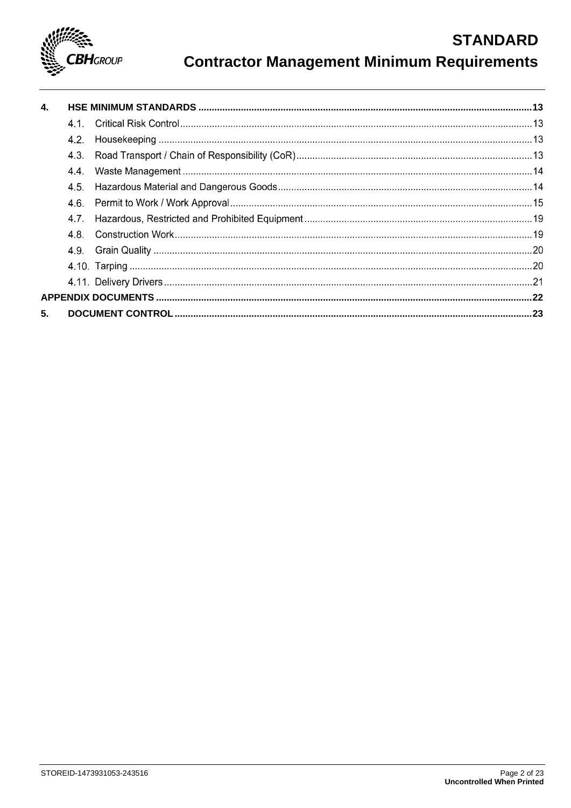

# **Contractor Management Minimum Requirements**

| $\mathbf{4}$ |                  |  |
|--------------|------------------|--|
|              |                  |  |
|              | 4.2 <sub>1</sub> |  |
|              | 4.3.             |  |
|              | 44.              |  |
|              | 4.5.             |  |
|              | 4.6.             |  |
|              | 4.7 <sub>1</sub> |  |
|              | 4.8.             |  |
|              |                  |  |
|              |                  |  |
|              |                  |  |
|              |                  |  |
| 5.           |                  |  |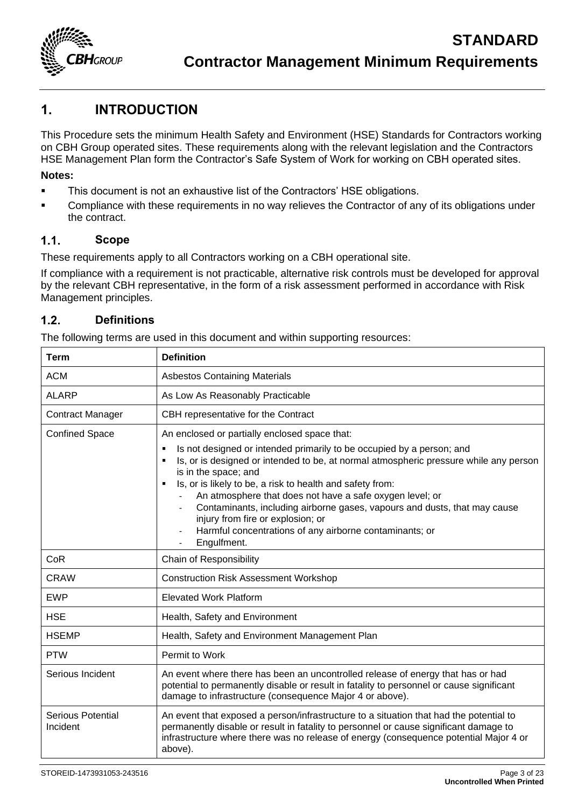

## <span id="page-2-0"></span>**1. INTRODUCTION**

This Procedure sets the minimum Health Safety and Environment (HSE) Standards for Contractors working on CBH Group operated sites. These requirements along with the relevant legislation and the Contractors HSE Management Plan form the Contractor's Safe System of Work for working on CBH operated sites.

### **Notes:**

- **•** This document is not an exhaustive list of the Contractors' HSE obligations.
- **•** Compliance with these requirements in no way relieves the Contractor of any of its obligations under the contract.

#### $1.1.$ **Scope**

These requirements apply to all Contractors working on a CBH operational site.

If compliance with a requirement is not practicable, alternative risk controls must be developed for approval by the relevant CBH representative, in the form of a risk assessment performed in accordance with Risk Management principles.

#### $1.2.$ **Definitions**

The following terms are used in this document and within supporting resources:

| <b>Term</b>                          | <b>Definition</b>                                                                                                                                                                                                                                                                                                                                                                                                                                                                                                                                                                                                  |  |  |
|--------------------------------------|--------------------------------------------------------------------------------------------------------------------------------------------------------------------------------------------------------------------------------------------------------------------------------------------------------------------------------------------------------------------------------------------------------------------------------------------------------------------------------------------------------------------------------------------------------------------------------------------------------------------|--|--|
| <b>ACM</b>                           | <b>Asbestos Containing Materials</b>                                                                                                                                                                                                                                                                                                                                                                                                                                                                                                                                                                               |  |  |
| <b>ALARP</b>                         | As Low As Reasonably Practicable                                                                                                                                                                                                                                                                                                                                                                                                                                                                                                                                                                                   |  |  |
| <b>Contract Manager</b>              | CBH representative for the Contract                                                                                                                                                                                                                                                                                                                                                                                                                                                                                                                                                                                |  |  |
| <b>Confined Space</b>                | An enclosed or partially enclosed space that:<br>Is not designed or intended primarily to be occupied by a person; and<br>$\blacksquare$<br>Is, or is designed or intended to be, at normal atmospheric pressure while any person<br>$\blacksquare$<br>is in the space; and<br>Is, or is likely to be, a risk to health and safety from:<br>$\blacksquare$<br>An atmosphere that does not have a safe oxygen level; or<br>Contaminants, including airborne gases, vapours and dusts, that may cause<br>injury from fire or explosion; or<br>Harmful concentrations of any airborne contaminants; or<br>Engulfment. |  |  |
| CoR                                  | Chain of Responsibility                                                                                                                                                                                                                                                                                                                                                                                                                                                                                                                                                                                            |  |  |
| <b>CRAW</b>                          | <b>Construction Risk Assessment Workshop</b>                                                                                                                                                                                                                                                                                                                                                                                                                                                                                                                                                                       |  |  |
| <b>EWP</b>                           | <b>Elevated Work Platform</b>                                                                                                                                                                                                                                                                                                                                                                                                                                                                                                                                                                                      |  |  |
| <b>HSE</b>                           | Health, Safety and Environment                                                                                                                                                                                                                                                                                                                                                                                                                                                                                                                                                                                     |  |  |
| <b>HSEMP</b>                         | Health, Safety and Environment Management Plan                                                                                                                                                                                                                                                                                                                                                                                                                                                                                                                                                                     |  |  |
| <b>PTW</b>                           | Permit to Work                                                                                                                                                                                                                                                                                                                                                                                                                                                                                                                                                                                                     |  |  |
| Serious Incident                     | An event where there has been an uncontrolled release of energy that has or had<br>potential to permanently disable or result in fatality to personnel or cause significant<br>damage to infrastructure (consequence Major 4 or above).                                                                                                                                                                                                                                                                                                                                                                            |  |  |
| <b>Serious Potential</b><br>Incident | An event that exposed a person/infrastructure to a situation that had the potential to<br>permanently disable or result in fatality to personnel or cause significant damage to<br>infrastructure where there was no release of energy (consequence potential Major 4 or<br>above).                                                                                                                                                                                                                                                                                                                                |  |  |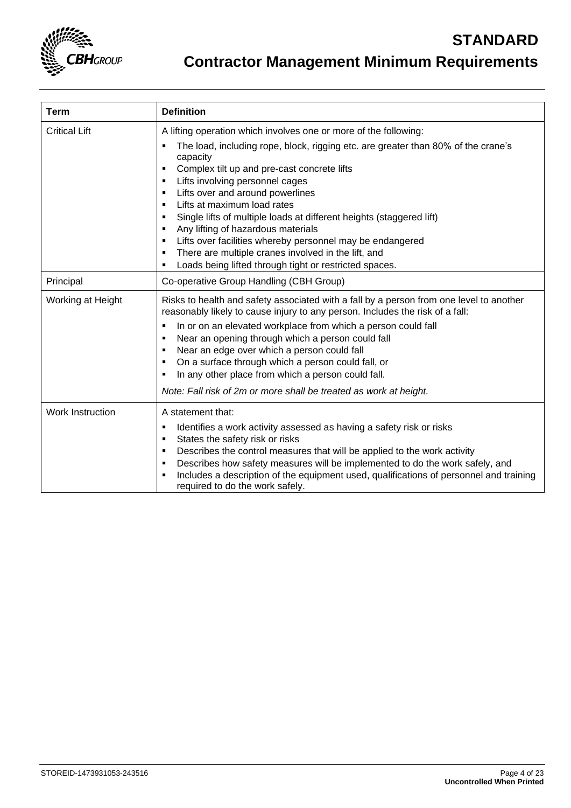

| <b>Term</b>          | <b>Definition</b>                                                                                                                                                                                                                                                                                                                                                                                                                                                                                                                                                                                   |
|----------------------|-----------------------------------------------------------------------------------------------------------------------------------------------------------------------------------------------------------------------------------------------------------------------------------------------------------------------------------------------------------------------------------------------------------------------------------------------------------------------------------------------------------------------------------------------------------------------------------------------------|
| <b>Critical Lift</b> | A lifting operation which involves one or more of the following:                                                                                                                                                                                                                                                                                                                                                                                                                                                                                                                                    |
|                      | The load, including rope, block, rigging etc. are greater than 80% of the crane's<br>capacity<br>Complex tilt up and pre-cast concrete lifts<br>٠<br>Lifts involving personnel cages<br>٠<br>Lifts over and around powerlines<br>٠<br>Lifts at maximum load rates<br>٠<br>Single lifts of multiple loads at different heights (staggered lift)<br>٠<br>Any lifting of hazardous materials<br>$\blacksquare$<br>Lifts over facilities whereby personnel may be endangered<br>٠<br>There are multiple cranes involved in the lift, and<br>٠<br>Loads being lifted through tight or restricted spaces. |
| Principal            | Co-operative Group Handling (CBH Group)                                                                                                                                                                                                                                                                                                                                                                                                                                                                                                                                                             |
| Working at Height    | Risks to health and safety associated with a fall by a person from one level to another<br>reasonably likely to cause injury to any person. Includes the risk of a fall:<br>In or on an elevated workplace from which a person could fall<br>٠<br>Near an opening through which a person could fall<br>٠<br>Near an edge over which a person could fall<br>٠<br>On a surface through which a person could fall, or<br>٠<br>In any other place from which a person could fall.<br>٠<br>Note: Fall risk of 2m or more shall be treated as work at height.                                             |
| Work Instruction     | A statement that:<br>Identifies a work activity assessed as having a safety risk or risks<br>٠<br>States the safety risk or risks<br>٠<br>Describes the control measures that will be applied to the work activity<br>٠<br>Describes how safety measures will be implemented to do the work safely, and<br>٠<br>Includes a description of the equipment used, qualifications of personnel and training<br>٠<br>required to do the work safely.                                                                                                                                                      |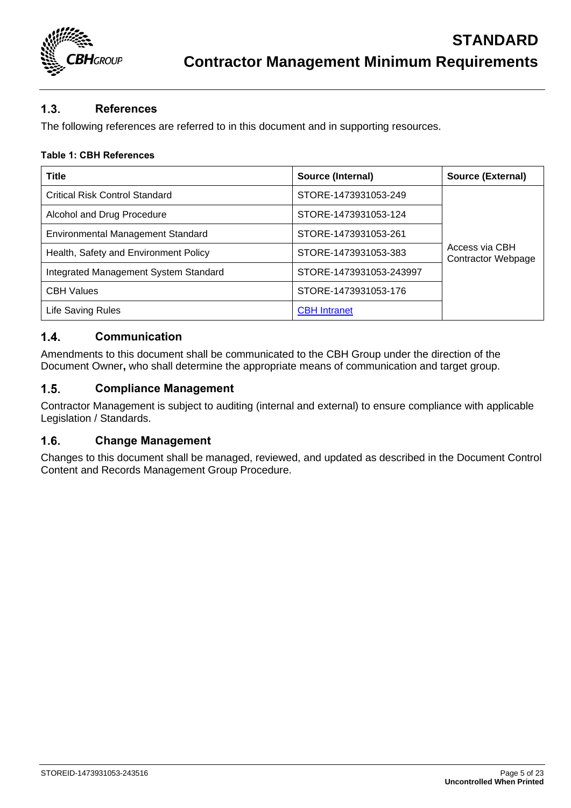

### $1.3.$ **References**

The following references are referred to in this document and in supporting resources.

### **Table 1: CBH References**

| <b>Title</b>                             | Source (Internal)       | <b>Source (External)</b>                    |
|------------------------------------------|-------------------------|---------------------------------------------|
| <b>Critical Risk Control Standard</b>    | STORE-1473931053-249    |                                             |
| Alcohol and Drug Procedure               | STORE-1473931053-124    |                                             |
| <b>Environmental Management Standard</b> | STORE-1473931053-261    |                                             |
| Health, Safety and Environment Policy    | STORE-1473931053-383    | Access via CBH<br><b>Contractor Webpage</b> |
| Integrated Management System Standard    | STORE-1473931053-243997 |                                             |
| <b>CBH Values</b>                        | STORE-1473931053-176    |                                             |
| <b>Life Saving Rules</b>                 | <b>CBH</b> Intranet     |                                             |

#### $1.4.$ **Communication**

Amendments to this document shall be communicated to the CBH Group under the direction of the Document Owner**,** who shall determine the appropriate means of communication and target group.

#### $1.5.$ **Compliance Management**

Contractor Management is subject to auditing (internal and external) to ensure compliance with applicable Legislation / Standards.

#### $1.6.$ **Change Management**

Changes to this document shall be managed, reviewed, and updated as described in the Document Control Content and Records Management Group Procedure.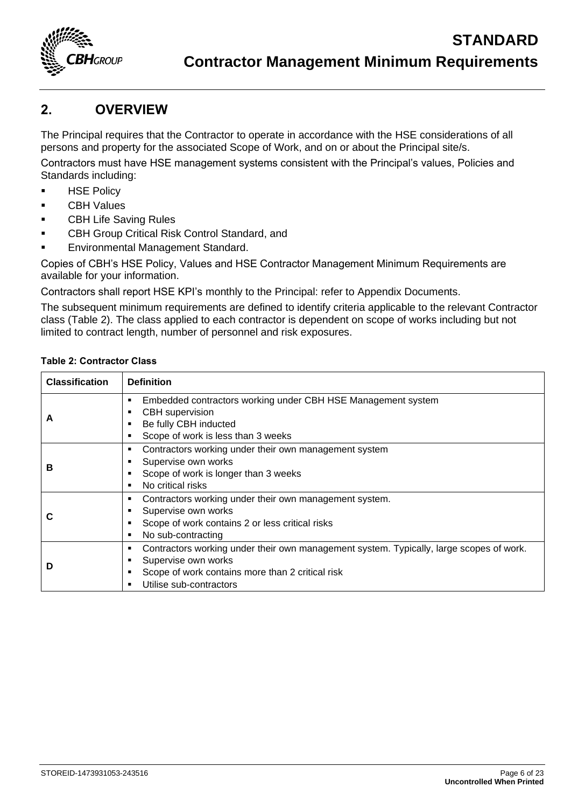

## <span id="page-5-0"></span>**2. OVERVIEW**

The Principal requires that the Contractor to operate in accordance with the HSE considerations of all persons and property for the associated Scope of Work, and on or about the Principal site/s.

Contractors must have HSE management systems consistent with the Principal's values, Policies and Standards including:

- **HSE Policy**
- CBH Values
- **CBH Life Saving Rules**
- CBH Group Critical Risk Control Standard, and
- **Environmental Management Standard.**

Copies of CBH's HSE Policy, Values and HSE Contractor Management Minimum Requirements are available for your information.

Contractors shall report HSE KPI's monthly to the Principal: refer to [Appendix Documents.](#page-21-0)

The subsequent minimum requirements are defined to identify criteria applicable to the relevant Contractor class [\(Table 2\)](#page-5-1). The class applied to each contractor is dependent on scope of works including but not limited to contract length, number of personnel and risk exposures.

### <span id="page-5-1"></span>**Table 2: Contractor Class**

| <b>Classification</b> | <b>Definition</b>                                                                                                                                                                                            |
|-----------------------|--------------------------------------------------------------------------------------------------------------------------------------------------------------------------------------------------------------|
| A                     | Embedded contractors working under CBH HSE Management system<br>٠<br><b>CBH</b> supervision<br>٠<br>Be fully CBH inducted<br>٠<br>Scope of work is less than 3 weeks<br>٠                                    |
| в                     | Contractors working under their own management system<br>٠<br>Supervise own works<br>٠<br>Scope of work is longer than 3 weeks<br>٠<br>No critical risks<br>٠                                                |
|                       | Contractors working under their own management system.<br>٠<br>Supervise own works<br>Scope of work contains 2 or less critical risks<br>г<br>No sub-contracting<br>٠                                        |
| D                     | Contractors working under their own management system. Typically, large scopes of work.<br>٠<br>Supervise own works<br>٠<br>Scope of work contains more than 2 critical risk<br>Utilise sub-contractors<br>٠ |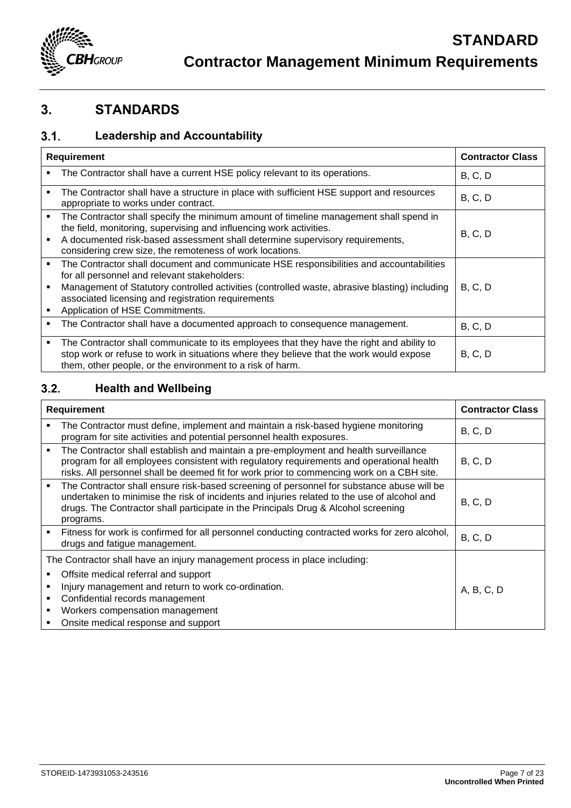

## <span id="page-6-0"></span>**3. STANDARDS**

### **Leadership and Accountability**  $3.1.$

| <b>Requirement</b> |                                                                                                                                                                                                                                                                                                                                   | <b>Contractor Class</b> |
|--------------------|-----------------------------------------------------------------------------------------------------------------------------------------------------------------------------------------------------------------------------------------------------------------------------------------------------------------------------------|-------------------------|
| ٠                  | The Contractor shall have a current HSE policy relevant to its operations.                                                                                                                                                                                                                                                        | B, C, D                 |
|                    | The Contractor shall have a structure in place with sufficient HSE support and resources<br>appropriate to works under contract.                                                                                                                                                                                                  | <b>B</b> , C, D         |
|                    | The Contractor shall specify the minimum amount of timeline management shall spend in<br>the field, monitoring, supervising and influencing work activities.<br>A documented risk-based assessment shall determine supervisory requirements,<br>considering crew size, the remoteness of work locations.                          | B, C, D                 |
| ٠                  | The Contractor shall document and communicate HSE responsibilities and accountabilities<br>for all personnel and relevant stakeholders:<br>Management of Statutory controlled activities (controlled waste, abrasive blasting) including<br>associated licensing and registration requirements<br>Application of HSE Commitments. | B, C, D                 |
| ٠                  | The Contractor shall have a documented approach to consequence management.                                                                                                                                                                                                                                                        | <b>B</b> , C, D         |
| ٠                  | The Contractor shall communicate to its employees that they have the right and ability to<br>stop work or refuse to work in situations where they believe that the work would expose<br>them, other people, or the environment to a risk of harm.                                                                                 | B, C, D                 |

### **Health and Wellbeing**  $3.2.$

| <b>Requirement</b> |                                                                                                                                                                                                                                                                                             | <b>Contractor Class</b> |
|--------------------|---------------------------------------------------------------------------------------------------------------------------------------------------------------------------------------------------------------------------------------------------------------------------------------------|-------------------------|
| ٠                  | The Contractor must define, implement and maintain a risk-based hygiene monitoring<br>program for site activities and potential personnel health exposures.                                                                                                                                 | B, C, D                 |
| ٠                  | The Contractor shall establish and maintain a pre-employment and health surveillance<br>program for all employees consistent with regulatory requirements and operational health<br>risks. All personnel shall be deemed fit for work prior to commencing work on a CBH site.               | B, C, D                 |
| $\blacksquare$     | The Contractor shall ensure risk-based screening of personnel for substance abuse will be<br>undertaken to minimise the risk of incidents and injuries related to the use of alcohol and<br>drugs. The Contractor shall participate in the Principals Drug & Alcohol screening<br>programs. | B, C, D                 |
|                    | Fitness for work is confirmed for all personnel conducting contracted works for zero alcohol,<br>drugs and fatigue management.                                                                                                                                                              | B, C, D                 |
|                    | The Contractor shall have an injury management process in place including:                                                                                                                                                                                                                  |                         |
|                    | Offsite medical referral and support<br>Injury management and return to work co-ordination.<br>Confidential records management<br>Workers compensation management<br>Onsite medical response and support                                                                                    | A, B, C, D              |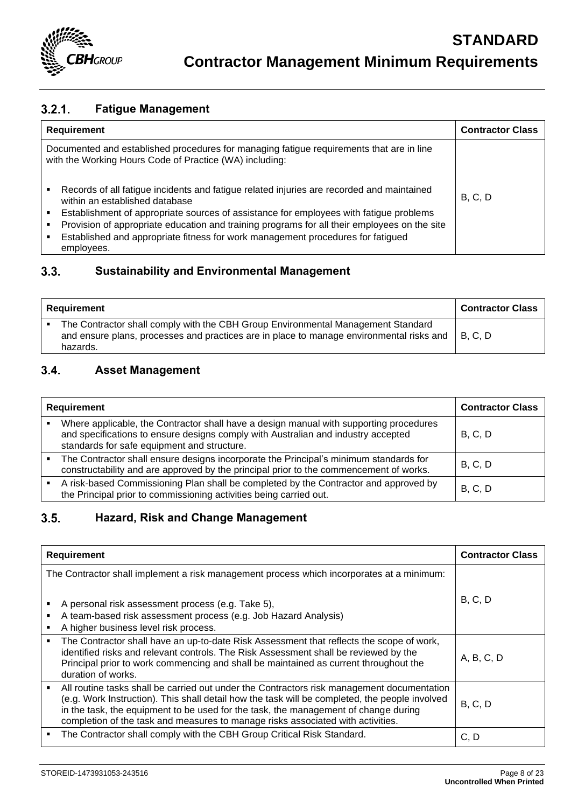

### $3.2.1.$ **Fatigue Management**

| <b>Requirement</b>                                                                                                                                                                                                                                                                                                         | <b>Contractor Class</b> |
|----------------------------------------------------------------------------------------------------------------------------------------------------------------------------------------------------------------------------------------------------------------------------------------------------------------------------|-------------------------|
| Documented and established procedures for managing fatigue requirements that are in line<br>with the Working Hours Code of Practice (WA) including:                                                                                                                                                                        |                         |
| Records of all fatigue incidents and fatigue related injuries are recorded and maintained<br>within an established database<br>Establishment of appropriate sources of assistance for employees with fatigue problems<br>٠<br>Provision of appropriate education and training programs for all their employees on the site | B, C, D                 |
| Established and appropriate fitness for work management procedures for fatigued<br>٠<br>employees.                                                                                                                                                                                                                         |                         |

### **Sustainability and Environmental Management**  $3.3.$

| Requirement |                                                                                                                                                                                          | Contractor Class |
|-------------|------------------------------------------------------------------------------------------------------------------------------------------------------------------------------------------|------------------|
|             | The Contractor shall comply with the CBH Group Environmental Management Standard<br>and ensure plans, processes and practices are in place to manage environmental risks and<br>hazards. | <b>B. C. D</b>   |

### $3.4.$ **Asset Management**

| <b>Requirement</b> |                                                                                                                                                                                                                            | <b>Contractor Class</b> |
|--------------------|----------------------------------------------------------------------------------------------------------------------------------------------------------------------------------------------------------------------------|-------------------------|
|                    | Where applicable, the Contractor shall have a design manual with supporting procedures<br>and specifications to ensure designs comply with Australian and industry accepted<br>standards for safe equipment and structure. | B, C, D                 |
|                    | The Contractor shall ensure designs incorporate the Principal's minimum standards for<br>constructability and are approved by the principal prior to the commencement of works.                                            | B, C, D                 |
|                    | A risk-based Commissioning Plan shall be completed by the Contractor and approved by<br>the Principal prior to commissioning activities being carried out.                                                                 | B, C, D                 |

### **Hazard, Risk and Change Management**  $3.5.$

| Requirement                                                                                                                                    | <b>Contractor Class</b>                                                                                                                                                                                                                                                                                                                                                |            |  |
|------------------------------------------------------------------------------------------------------------------------------------------------|------------------------------------------------------------------------------------------------------------------------------------------------------------------------------------------------------------------------------------------------------------------------------------------------------------------------------------------------------------------------|------------|--|
| The Contractor shall implement a risk management process which incorporates at a minimum:<br>A personal risk assessment process (e.g. Take 5), |                                                                                                                                                                                                                                                                                                                                                                        | B, C, D    |  |
|                                                                                                                                                | A team-based risk assessment process (e.g. Job Hazard Analysis)<br>A higher business level risk process.                                                                                                                                                                                                                                                               |            |  |
|                                                                                                                                                | The Contractor shall have an up-to-date Risk Assessment that reflects the scope of work,<br>identified risks and relevant controls. The Risk Assessment shall be reviewed by the<br>Principal prior to work commencing and shall be maintained as current throughout the<br>duration of works.                                                                         | A, B, C, D |  |
| ٠                                                                                                                                              | All routine tasks shall be carried out under the Contractors risk management documentation<br>(e.g. Work Instruction). This shall detail how the task will be completed, the people involved<br>in the task, the equipment to be used for the task, the management of change during<br>completion of the task and measures to manage risks associated with activities. | B, C, D    |  |
|                                                                                                                                                | The Contractor shall comply with the CBH Group Critical Risk Standard.                                                                                                                                                                                                                                                                                                 | C, D       |  |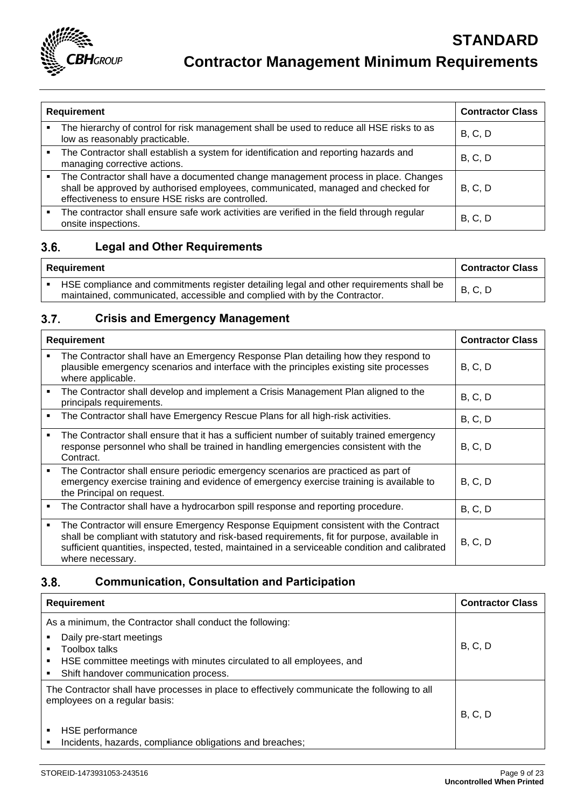

| <b>Requirement</b> |                                                                                                                                                                                                                             | <b>Contractor Class</b> |
|--------------------|-----------------------------------------------------------------------------------------------------------------------------------------------------------------------------------------------------------------------------|-------------------------|
|                    | The hierarchy of control for risk management shall be used to reduce all HSE risks to as<br>low as reasonably practicable.                                                                                                  | B, C, D                 |
|                    | The Contractor shall establish a system for identification and reporting hazards and<br>managing corrective actions.                                                                                                        | B, C, D                 |
| ٠                  | The Contractor shall have a documented change management process in place. Changes<br>shall be approved by authorised employees, communicated, managed and checked for<br>effectiveness to ensure HSE risks are controlled. | B, C, D                 |
|                    | The contractor shall ensure safe work activities are verified in the field through regular<br>onsite inspections.                                                                                                           | B, C, D                 |

### $3.6.$ **Legal and Other Requirements**

| Requirement | <b>Contractor Class</b>                                                                                                                                              |         |
|-------------|----------------------------------------------------------------------------------------------------------------------------------------------------------------------|---------|
|             | HSE compliance and commitments register detailing legal and other requirements shall be<br>maintained, communicated, accessible and complied with by the Contractor. | B, C, D |

### **Crisis and Emergency Management**  $3.7.$

| <b>Requirement</b> |                                                                                                                                                                                                                                                                                                            | <b>Contractor Class</b> |
|--------------------|------------------------------------------------------------------------------------------------------------------------------------------------------------------------------------------------------------------------------------------------------------------------------------------------------------|-------------------------|
|                    | The Contractor shall have an Emergency Response Plan detailing how they respond to<br>plausible emergency scenarios and interface with the principles existing site processes<br>where applicable.                                                                                                         | B, C, D                 |
|                    | The Contractor shall develop and implement a Crisis Management Plan aligned to the<br>principals requirements.                                                                                                                                                                                             | B, C, D                 |
|                    | The Contractor shall have Emergency Rescue Plans for all high-risk activities.                                                                                                                                                                                                                             | B, C, D                 |
|                    | The Contractor shall ensure that it has a sufficient number of suitably trained emergency<br>response personnel who shall be trained in handling emergencies consistent with the<br>Contract.                                                                                                              | B, C, D                 |
|                    | The Contractor shall ensure periodic emergency scenarios are practiced as part of<br>emergency exercise training and evidence of emergency exercise training is available to<br>the Principal on request.                                                                                                  | B, C, D                 |
|                    | The Contractor shall have a hydrocarbon spill response and reporting procedure.                                                                                                                                                                                                                            | B, C, D                 |
| ٠                  | The Contractor will ensure Emergency Response Equipment consistent with the Contract<br>shall be compliant with statutory and risk-based requirements, fit for purpose, available in<br>sufficient quantities, inspected, tested, maintained in a serviceable condition and calibrated<br>where necessary. | B, C, D                 |

### $3.8.$ **Communication, Consultation and Participation**

| <b>Requirement</b>                                                                                                                                                                                                      | <b>Contractor Class</b> |
|-------------------------------------------------------------------------------------------------------------------------------------------------------------------------------------------------------------------------|-------------------------|
| As a minimum, the Contractor shall conduct the following:<br>Daily pre-start meetings<br>Toolbox talks<br>HSE committee meetings with minutes circulated to all employees, and<br>Shift handover communication process. | B, C, D                 |
| The Contractor shall have processes in place to effectively communicate the following to all<br>employees on a regular basis:<br>HSE performance<br>Incidents, hazards, compliance obligations and breaches;            | B, C, D                 |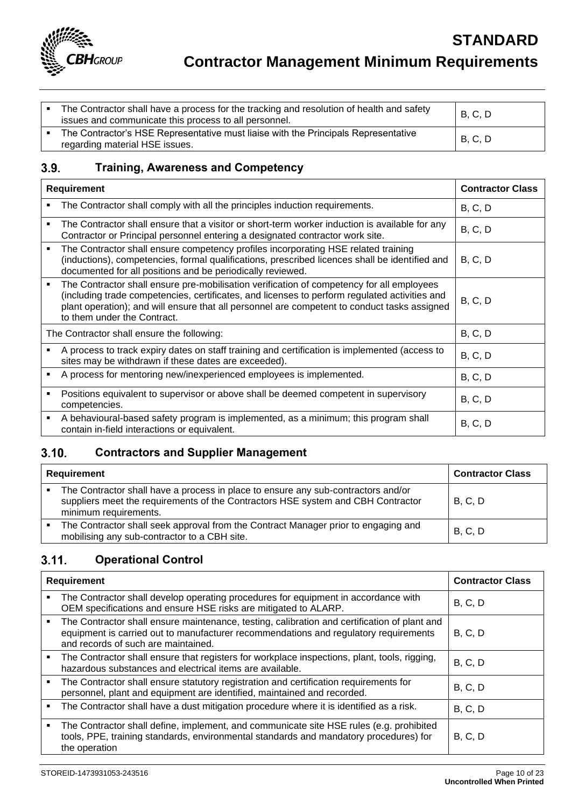

| The Contractor shall have a process for the tracking and resolution of health and safety<br>issues and communicate this process to all personnel. | <b>B, C, D</b> |
|---------------------------------------------------------------------------------------------------------------------------------------------------|----------------|
| The Contractor's HSE Representative must liaise with the Principals Representative<br>regarding material HSE issues.                              | <b>B, C, D</b> |

### $3.9.$ **Training, Awareness and Competency**

| <b>Requirement</b> |                                                                                                                                                                                                                                                                                                                           | <b>Contractor Class</b> |
|--------------------|---------------------------------------------------------------------------------------------------------------------------------------------------------------------------------------------------------------------------------------------------------------------------------------------------------------------------|-------------------------|
|                    | The Contractor shall comply with all the principles induction requirements.                                                                                                                                                                                                                                               | B, C, D                 |
|                    | The Contractor shall ensure that a visitor or short-term worker induction is available for any<br>Contractor or Principal personnel entering a designated contractor work site.                                                                                                                                           | B, C, D                 |
| ٠                  | The Contractor shall ensure competency profiles incorporating HSE related training<br>(inductions), competencies, formal qualifications, prescribed licences shall be identified and<br>documented for all positions and be periodically reviewed.                                                                        | B, C, D                 |
|                    | The Contractor shall ensure pre-mobilisation verification of competency for all employees<br>(including trade competencies, certificates, and licenses to perform regulated activities and<br>plant operation); and will ensure that all personnel are competent to conduct tasks assigned<br>to them under the Contract. | B, C, D                 |
|                    | The Contractor shall ensure the following:                                                                                                                                                                                                                                                                                | B, C, D                 |
|                    | A process to track expiry dates on staff training and certification is implemented (access to<br>sites may be withdrawn if these dates are exceeded).                                                                                                                                                                     | B, C, D                 |
|                    | A process for mentoring new/inexperienced employees is implemented.                                                                                                                                                                                                                                                       | B, C, D                 |
|                    | Positions equivalent to supervisor or above shall be deemed competent in supervisory<br>competencies.                                                                                                                                                                                                                     | B, C, D                 |
|                    | A behavioural-based safety program is implemented, as a minimum; this program shall<br>contain in-field interactions or equivalent.                                                                                                                                                                                       | B, C, D                 |

### $3.10.$ **Contractors and Supplier Management**

| Requirement |                                                                                                                                                                                                | <b>Contractor Class</b> |
|-------------|------------------------------------------------------------------------------------------------------------------------------------------------------------------------------------------------|-------------------------|
|             | The Contractor shall have a process in place to ensure any sub-contractors and/or<br>suppliers meet the requirements of the Contractors HSE system and CBH Contractor<br>minimum requirements. | <b>B, C, D</b>          |
|             | The Contractor shall seek approval from the Contract Manager prior to engaging and<br>mobilising any sub-contractor to a CBH site.                                                             | <b>B, C, D</b>          |

### **Operational Control**  $3.11.$

| <b>Requirement</b> |                                                                                                                                                                                                                             | <b>Contractor Class</b> |
|--------------------|-----------------------------------------------------------------------------------------------------------------------------------------------------------------------------------------------------------------------------|-------------------------|
|                    | The Contractor shall develop operating procedures for equipment in accordance with<br>OEM specifications and ensure HSE risks are mitigated to ALARP.                                                                       | B, C, D                 |
|                    | The Contractor shall ensure maintenance, testing, calibration and certification of plant and<br>equipment is carried out to manufacturer recommendations and regulatory requirements<br>and records of such are maintained. | B, C, D                 |
|                    | The Contractor shall ensure that registers for workplace inspections, plant, tools, rigging,<br>hazardous substances and electrical items are available.                                                                    | B, C, D                 |
|                    | The Contractor shall ensure statutory registration and certification requirements for<br>personnel, plant and equipment are identified, maintained and recorded.                                                            | B, C, D                 |
| ٠                  | The Contractor shall have a dust mitigation procedure where it is identified as a risk.                                                                                                                                     | B, C, D                 |
|                    | The Contractor shall define, implement, and communicate site HSE rules (e.g. prohibited<br>tools, PPE, training standards, environmental standards and mandatory procedures) for<br>the operation                           | B, C, D                 |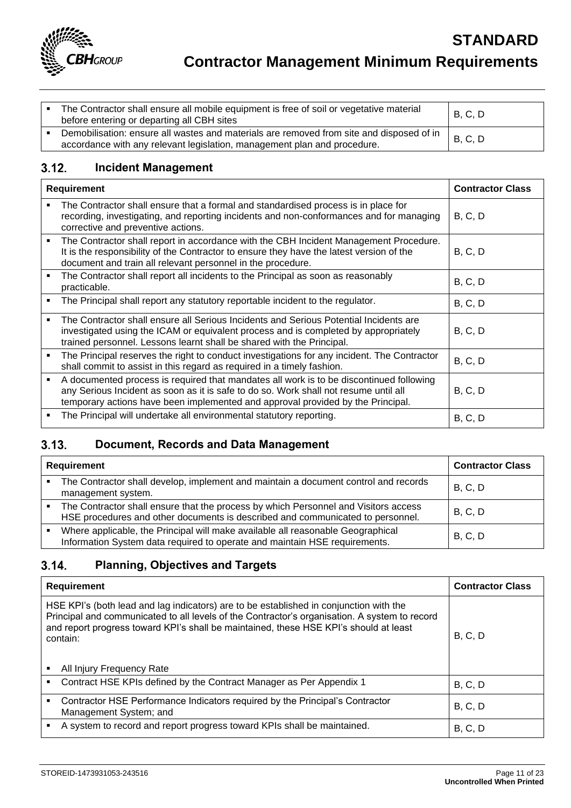

| The Contractor shall ensure all mobile equipment is free of soil or vegetative material<br>before entering or departing all CBH sites                                | <b>B, C, D</b> |
|----------------------------------------------------------------------------------------------------------------------------------------------------------------------|----------------|
| Demobilisation: ensure all wastes and materials are removed from site and disposed of in<br>accordance with any relevant legislation, management plan and procedure. | B, C, D        |

### $3.12.$ **Incident Management**

| <b>Requirement</b> |                                                                                                                                                                                                                                                                    | <b>Contractor Class</b> |
|--------------------|--------------------------------------------------------------------------------------------------------------------------------------------------------------------------------------------------------------------------------------------------------------------|-------------------------|
|                    | The Contractor shall ensure that a formal and standardised process is in place for<br>recording, investigating, and reporting incidents and non-conformances and for managing<br>corrective and preventive actions.                                                | B, C, D                 |
| ٠                  | The Contractor shall report in accordance with the CBH Incident Management Procedure.<br>It is the responsibility of the Contractor to ensure they have the latest version of the<br>document and train all relevant personnel in the procedure.                   | B, C, D                 |
|                    | The Contractor shall report all incidents to the Principal as soon as reasonably<br>practicable.                                                                                                                                                                   | B, C, D                 |
| ٠                  | The Principal shall report any statutory reportable incident to the regulator.                                                                                                                                                                                     | B, C, D                 |
|                    | The Contractor shall ensure all Serious Incidents and Serious Potential Incidents are<br>investigated using the ICAM or equivalent process and is completed by appropriately<br>trained personnel. Lessons learnt shall be shared with the Principal.              | B, C, D                 |
|                    | The Principal reserves the right to conduct investigations for any incident. The Contractor<br>shall commit to assist in this regard as required in a timely fashion.                                                                                              | B, C, D                 |
| ٠                  | A documented process is required that mandates all work is to be discontinued following<br>any Serious Incident as soon as it is safe to do so. Work shall not resume until all<br>temporary actions have been implemented and approval provided by the Principal. | B, C, D                 |
|                    | The Principal will undertake all environmental statutory reporting.                                                                                                                                                                                                | B, C, D                 |

### **Document, Records and Data Management**  $3.13.$

| <b>Requirement</b> |                                                                                                                                                                       | <b>Contractor Class</b> |
|--------------------|-----------------------------------------------------------------------------------------------------------------------------------------------------------------------|-------------------------|
|                    | The Contractor shall develop, implement and maintain a document control and records<br>management system.                                                             | B, C, D                 |
|                    | The Contractor shall ensure that the process by which Personnel and Visitors access<br>HSE procedures and other documents is described and communicated to personnel. | B, C, D                 |
|                    | Where applicable, the Principal will make available all reasonable Geographical<br>Information System data required to operate and maintain HSE requirements.         | <b>B</b> , C, D         |

### **Planning, Objectives and Targets**  $3.14.$

| <b>Requirement</b>                                                                                                                                                                                                                                                                                                        | <b>Contractor Class</b> |
|---------------------------------------------------------------------------------------------------------------------------------------------------------------------------------------------------------------------------------------------------------------------------------------------------------------------------|-------------------------|
| HSE KPI's (both lead and lag indicators) are to be established in conjunction with the<br>Principal and communicated to all levels of the Contractor's organisation. A system to record<br>and report progress toward KPI's shall be maintained, these HSE KPI's should at least<br>contain:<br>All Injury Frequency Rate | B, C, D                 |
| Contract HSE KPIs defined by the Contract Manager as Per Appendix 1                                                                                                                                                                                                                                                       | B, C, D                 |
| Contractor HSE Performance Indicators required by the Principal's Contractor<br>٠<br>Management System; and                                                                                                                                                                                                               | B, C, D                 |
| A system to record and report progress toward KPIs shall be maintained.                                                                                                                                                                                                                                                   | B, C, D                 |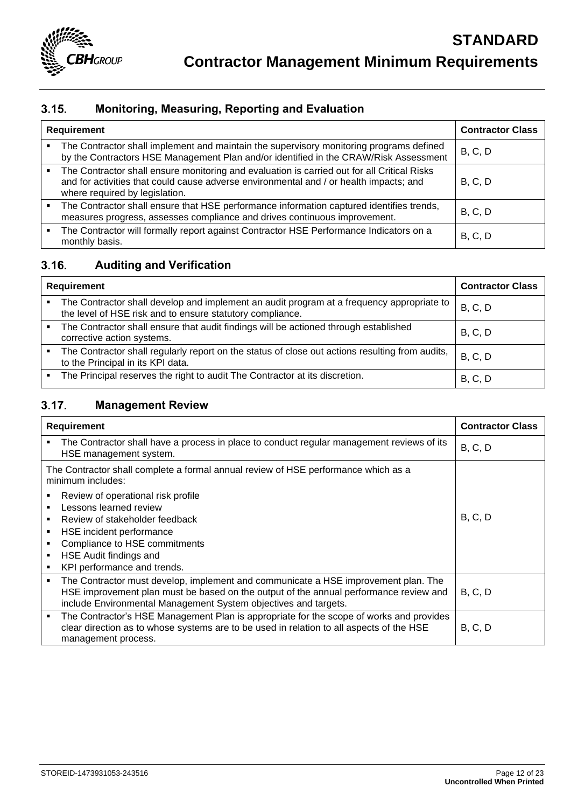

### $3.15.$ **Monitoring, Measuring, Reporting and Evaluation**

| <b>Requirement</b> |                                                                                                                                                                                                                         | <b>Contractor Class</b> |
|--------------------|-------------------------------------------------------------------------------------------------------------------------------------------------------------------------------------------------------------------------|-------------------------|
|                    | The Contractor shall implement and maintain the supervisory monitoring programs defined<br>by the Contractors HSE Management Plan and/or identified in the CRAW/Risk Assessment                                         | B, C, D                 |
|                    | The Contractor shall ensure monitoring and evaluation is carried out for all Critical Risks<br>and for activities that could cause adverse environmental and / or health impacts; and<br>where required by legislation. | B, C, D                 |
|                    | The Contractor shall ensure that HSE performance information captured identifies trends,<br>measures progress, assesses compliance and drives continuous improvement.                                                   | B, C, D                 |
|                    | The Contractor will formally report against Contractor HSE Performance Indicators on a<br>monthly basis.                                                                                                                | B, C, D                 |

### $3.16.$ **Auditing and Verification**

| Requirement |                                                                                                                                                        | <b>Contractor Class</b> |
|-------------|--------------------------------------------------------------------------------------------------------------------------------------------------------|-------------------------|
| ٠           | The Contractor shall develop and implement an audit program at a frequency appropriate to<br>the level of HSE risk and to ensure statutory compliance. | B, C, D                 |
|             | The Contractor shall ensure that audit findings will be actioned through established<br>corrective action systems.                                     | B, C, D                 |
|             | The Contractor shall regularly report on the status of close out actions resulting from audits,<br>to the Principal in its KPI data.                   | B, C, D                 |
| ٠           | The Principal reserves the right to audit The Contractor at its discretion.                                                                            | B, C, D                 |

### **Management Review**  $3.17.$

| <b>Requirement</b> |                                                                                                                                                                                                                                                | <b>Contractor Class</b> |
|--------------------|------------------------------------------------------------------------------------------------------------------------------------------------------------------------------------------------------------------------------------------------|-------------------------|
|                    | The Contractor shall have a process in place to conduct regular management reviews of its<br>HSE management system.                                                                                                                            | B, C, D                 |
|                    | The Contractor shall complete a formal annual review of HSE performance which as a<br>minimum includes:                                                                                                                                        |                         |
|                    | Review of operational risk profile                                                                                                                                                                                                             |                         |
|                    | Lessons learned review                                                                                                                                                                                                                         |                         |
|                    | Review of stakeholder feedback                                                                                                                                                                                                                 | B, C, D                 |
|                    | HSE incident performance                                                                                                                                                                                                                       |                         |
|                    | Compliance to HSE commitments                                                                                                                                                                                                                  |                         |
|                    | HSE Audit findings and                                                                                                                                                                                                                         |                         |
|                    | KPI performance and trends.                                                                                                                                                                                                                    |                         |
| ٠                  | The Contractor must develop, implement and communicate a HSE improvement plan. The<br>HSE improvement plan must be based on the output of the annual performance review and<br>include Environmental Management System objectives and targets. | B, C, D                 |
|                    | The Contractor's HSE Management Plan is appropriate for the scope of works and provides<br>clear direction as to whose systems are to be used in relation to all aspects of the HSE<br>management process.                                     | B, C, D                 |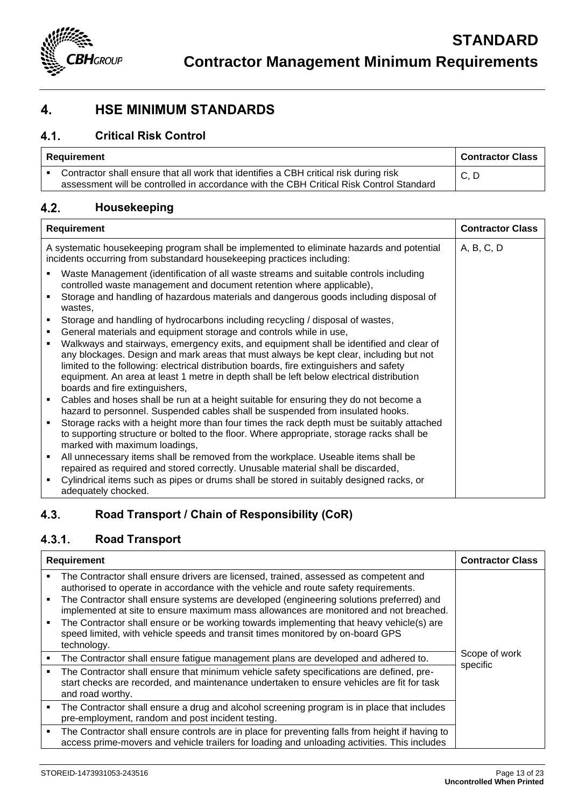

## <span id="page-12-0"></span>**4. HSE MINIMUM STANDARDS**

### $4.1.$ **Critical Risk Control**

| Requirement | <b>Contractor Class</b>                                                                                                                                                          |      |
|-------------|----------------------------------------------------------------------------------------------------------------------------------------------------------------------------------|------|
|             | Contractor shall ensure that all work that identifies a CBH critical risk during risk<br>assessment will be controlled in accordance with the CBH Critical Risk Control Standard | C, D |

### **Housekeeping**  $4.2.$

| Requirement                                                                                                                                                                                                                                                                                                                                                                                                                                                                                | <b>Contractor Class</b> |
|--------------------------------------------------------------------------------------------------------------------------------------------------------------------------------------------------------------------------------------------------------------------------------------------------------------------------------------------------------------------------------------------------------------------------------------------------------------------------------------------|-------------------------|
| A systematic housekeeping program shall be implemented to eliminate hazards and potential<br>incidents occurring from substandard housekeeping practices including:                                                                                                                                                                                                                                                                                                                        | A, B, C, D              |
| Waste Management (identification of all waste streams and suitable controls including<br>٠<br>controlled waste management and document retention where applicable),                                                                                                                                                                                                                                                                                                                        |                         |
| Storage and handling of hazardous materials and dangerous goods including disposal of<br>wastes,                                                                                                                                                                                                                                                                                                                                                                                           |                         |
| Storage and handling of hydrocarbons including recycling / disposal of wastes,<br>٠                                                                                                                                                                                                                                                                                                                                                                                                        |                         |
| General materials and equipment storage and controls while in use,<br>٠<br>Walkways and stairways, emergency exits, and equipment shall be identified and clear of<br>٠<br>any blockages. Design and mark areas that must always be kept clear, including but not<br>limited to the following: electrical distribution boards, fire extinguishers and safety<br>equipment. An area at least 1 metre in depth shall be left below electrical distribution<br>boards and fire extinguishers, |                         |
| Cables and hoses shall be run at a height suitable for ensuring they do not become a<br>٠<br>hazard to personnel. Suspended cables shall be suspended from insulated hooks.                                                                                                                                                                                                                                                                                                                |                         |
| Storage racks with a height more than four times the rack depth must be suitably attached<br>to supporting structure or bolted to the floor. Where appropriate, storage racks shall be<br>marked with maximum loadings,                                                                                                                                                                                                                                                                    |                         |
| All unnecessary items shall be removed from the workplace. Useable items shall be<br>٠<br>repaired as required and stored correctly. Unusable material shall be discarded,                                                                                                                                                                                                                                                                                                                 |                         |
| Cylindrical items such as pipes or drums shall be stored in suitably designed racks, or<br>adequately chocked.                                                                                                                                                                                                                                                                                                                                                                             |                         |

### $4.3.$ **Road Transport / Chain of Responsibility (CoR)**

### **Road Transport**  $4.3.1.$

| <b>Requirement</b> |                                                                                                                                                                                                                                                                                                                                                                                                                                                                                                                                                              | <b>Contractor Class</b>   |
|--------------------|--------------------------------------------------------------------------------------------------------------------------------------------------------------------------------------------------------------------------------------------------------------------------------------------------------------------------------------------------------------------------------------------------------------------------------------------------------------------------------------------------------------------------------------------------------------|---------------------------|
|                    | The Contractor shall ensure drivers are licensed, trained, assessed as competent and<br>authorised to operate in accordance with the vehicle and route safety requirements.<br>The Contractor shall ensure systems are developed (engineering solutions preferred) and<br>implemented at site to ensure maximum mass allowances are monitored and not breached.<br>The Contractor shall ensure or be working towards implementing that heavy vehicle(s) are<br>speed limited, with vehicle speeds and transit times monitored by on-board GPS<br>technology. |                           |
|                    | The Contractor shall ensure fatigue management plans are developed and adhered to.                                                                                                                                                                                                                                                                                                                                                                                                                                                                           | Scope of work<br>specific |
|                    | The Contractor shall ensure that minimum vehicle safety specifications are defined, pre-<br>start checks are recorded, and maintenance undertaken to ensure vehicles are fit for task<br>and road worthy.                                                                                                                                                                                                                                                                                                                                                    |                           |
|                    | The Contractor shall ensure a drug and alcohol screening program is in place that includes<br>pre-employment, random and post incident testing.                                                                                                                                                                                                                                                                                                                                                                                                              |                           |
|                    | The Contractor shall ensure controls are in place for preventing falls from height if having to<br>access prime-movers and vehicle trailers for loading and unloading activities. This includes                                                                                                                                                                                                                                                                                                                                                              |                           |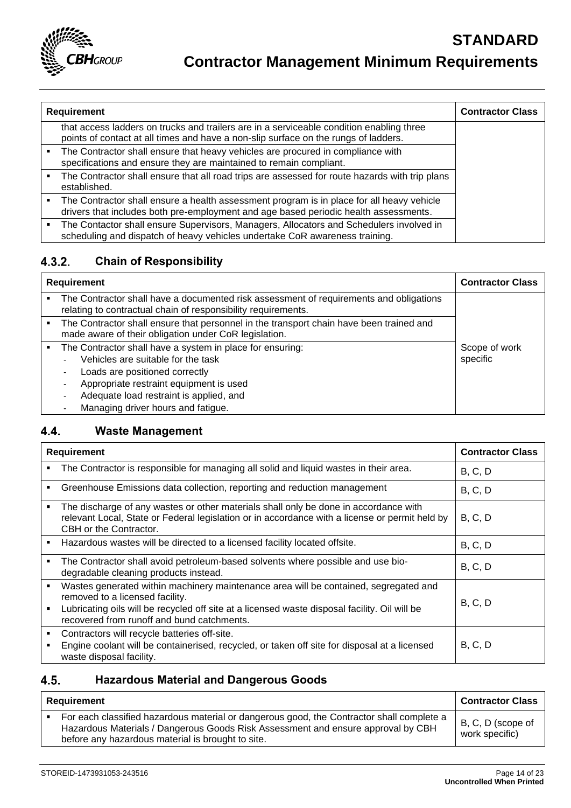

|  | Requirement<br><b>Contractor Class</b>                                                                                                                                            |  |
|--|-----------------------------------------------------------------------------------------------------------------------------------------------------------------------------------|--|
|  | that access ladders on trucks and trailers are in a serviceable condition enabling three<br>points of contact at all times and have a non-slip surface on the rungs of ladders.   |  |
|  | The Contractor shall ensure that heavy vehicles are procured in compliance with<br>specifications and ensure they are maintained to remain compliant.                             |  |
|  | The Contractor shall ensure that all road trips are assessed for route hazards with trip plans<br>established.                                                                    |  |
|  | The Contractor shall ensure a health assessment program is in place for all heavy vehicle<br>drivers that includes both pre-employment and age based periodic health assessments. |  |
|  | The Contactor shall ensure Supervisors, Managers, Allocators and Schedulers involved in<br>scheduling and dispatch of heavy vehicles undertake CoR awareness training.            |  |

### **Chain of Responsibility**  $4.3.2.$

| <b>Requirement</b> |                                                                                                                                                                                                                                                               | <b>Contractor Class</b>   |
|--------------------|---------------------------------------------------------------------------------------------------------------------------------------------------------------------------------------------------------------------------------------------------------------|---------------------------|
|                    | The Contractor shall have a documented risk assessment of requirements and obligations<br>relating to contractual chain of responsibility requirements.                                                                                                       |                           |
|                    | The Contractor shall ensure that personnel in the transport chain have been trained and<br>made aware of their obligation under CoR legislation.                                                                                                              |                           |
|                    | The Contractor shall have a system in place for ensuring:<br>Vehicles are suitable for the task<br>Loads are positioned correctly<br>Appropriate restraint equipment is used<br>Adequate load restraint is applied, and<br>Managing driver hours and fatigue. | Scope of work<br>specific |

#### $4.4.$ **Waste Management**

| Requirement |                                                                                                                                                                                                                                                                        | <b>Contractor Class</b> |
|-------------|------------------------------------------------------------------------------------------------------------------------------------------------------------------------------------------------------------------------------------------------------------------------|-------------------------|
| ٠           | The Contractor is responsible for managing all solid and liquid wastes in their area.                                                                                                                                                                                  | B, C, D                 |
| ٠           | Greenhouse Emissions data collection, reporting and reduction management                                                                                                                                                                                               | B, C, D                 |
|             | The discharge of any wastes or other materials shall only be done in accordance with<br>relevant Local, State or Federal legislation or in accordance with a license or permit held by<br>CBH or the Contractor.                                                       | B, C, D                 |
|             | Hazardous wastes will be directed to a licensed facility located offsite.                                                                                                                                                                                              | B, C, D                 |
| ٠           | The Contractor shall avoid petroleum-based solvents where possible and use bio-<br>degradable cleaning products instead.                                                                                                                                               | B, C, D                 |
| ٠<br>٠      | Wastes generated within machinery maintenance area will be contained, segregated and<br>removed to a licensed facility.<br>Lubricating oils will be recycled off site at a licensed waste disposal facility. Oil will be<br>recovered from runoff and bund catchments. | B, C, D                 |
| ٠           | Contractors will recycle batteries off-site.<br>Engine coolant will be containerised, recycled, or taken off site for disposal at a licensed<br>waste disposal facility.                                                                                               | B, C, D                 |

### **Hazardous Material and Dangerous Goods** 4.5.

| Requirement |                                                                                                                                                                                                                                    | <b>Contractor Class</b>             |
|-------------|------------------------------------------------------------------------------------------------------------------------------------------------------------------------------------------------------------------------------------|-------------------------------------|
|             | For each classified hazardous material or dangerous good, the Contractor shall complete a<br>Hazardous Materials / Dangerous Goods Risk Assessment and ensure approval by CBH<br>before any hazardous material is brought to site. | B, C, D (scope of<br>work specific) |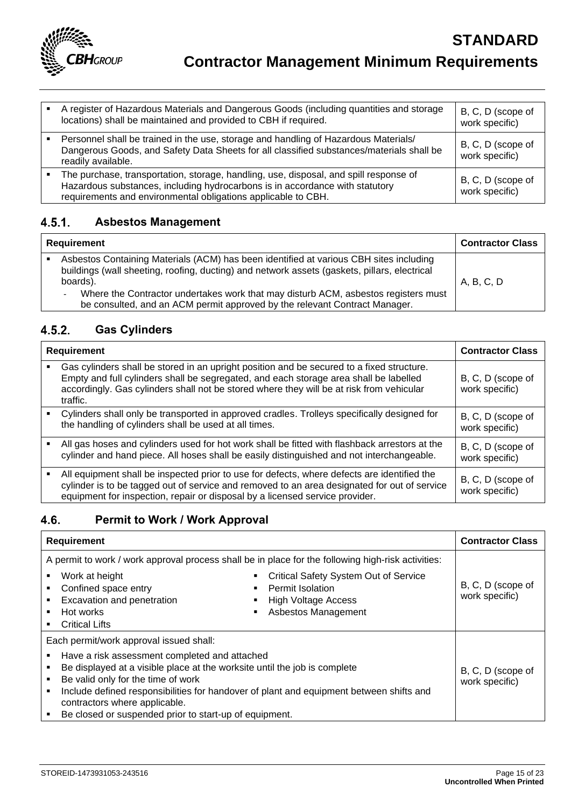

| A register of Hazardous Materials and Dangerous Goods (including quantities and storage<br>locations) shall be maintained and provided to CBH if required.                                                                             | B, C, D (scope of<br>work specific) |
|----------------------------------------------------------------------------------------------------------------------------------------------------------------------------------------------------------------------------------------|-------------------------------------|
| Personnel shall be trained in the use, storage and handling of Hazardous Materials/<br>Dangerous Goods, and Safety Data Sheets for all classified substances/materials shall be<br>readily available.                                  | B, C, D (scope of<br>work specific) |
| The purchase, transportation, storage, handling, use, disposal, and spill response of<br>Hazardous substances, including hydrocarbons is in accordance with statutory<br>requirements and environmental obligations applicable to CBH. | B, C, D (scope of<br>work specific) |

### **Asbestos Management**  $4.5.1.$

| Requirement |                                                                                                                                                                                                    | <b>Contractor Class</b> |
|-------------|----------------------------------------------------------------------------------------------------------------------------------------------------------------------------------------------------|-------------------------|
|             | Asbestos Containing Materials (ACM) has been identified at various CBH sites including<br>buildings (wall sheeting, roofing, ducting) and network assets (gaskets, pillars, electrical<br>boards). | A, B, C, D              |
|             | Where the Contractor undertakes work that may disturb ACM, asbestos registers must<br>٠<br>be consulted, and an ACM permit approved by the relevant Contract Manager.                              |                         |

### $4.5.2.$ **Gas Cylinders**

| <b>Requirement</b> |                                                                                                                                                                                                                                                                                            | <b>Contractor Class</b>             |
|--------------------|--------------------------------------------------------------------------------------------------------------------------------------------------------------------------------------------------------------------------------------------------------------------------------------------|-------------------------------------|
|                    | Gas cylinders shall be stored in an upright position and be secured to a fixed structure.<br>Empty and full cylinders shall be segregated, and each storage area shall be labelled<br>accordingly. Gas cylinders shall not be stored where they will be at risk from vehicular<br>traffic. | B, C, D (scope of<br>work specific) |
|                    | Cylinders shall only be transported in approved cradles. Trolleys specifically designed for<br>the handling of cylinders shall be used at all times.                                                                                                                                       | B, C, D (scope of<br>work specific) |
|                    | All gas hoses and cylinders used for hot work shall be fitted with flashback arrestors at the<br>cylinder and hand piece. All hoses shall be easily distinguished and not interchangeable.                                                                                                 | B, C, D (scope of<br>work specific) |
|                    | All equipment shall be inspected prior to use for defects, where defects are identified the<br>cylinder is to be tagged out of service and removed to an area designated for out of service<br>equipment for inspection, repair or disposal by a licensed service provider.                | B, C, D (scope of<br>work specific) |

### 4.6. **Permit to Work / Work Approval**

| <b>Requirement</b>                                                                                                                                                                                | <b>Contractor Class</b>                                                                                                      |                                     |
|---------------------------------------------------------------------------------------------------------------------------------------------------------------------------------------------------|------------------------------------------------------------------------------------------------------------------------------|-------------------------------------|
| A permit to work / work approval process shall be in place for the following high-risk activities:                                                                                                |                                                                                                                              |                                     |
| Work at height<br>Confined space entry<br>Excavation and penetration<br>Hot works<br><b>Critical Lifts</b>                                                                                        | <b>Critical Safety System Out of Service</b><br><b>Permit Isolation</b><br><b>High Voltage Access</b><br>Asbestos Management | B, C, D (scope of<br>work specific) |
| Each permit/work approval issued shall:                                                                                                                                                           |                                                                                                                              |                                     |
| Have a risk assessment completed and attached<br>Be displayed at a visible place at the worksite until the job is complete<br>Be valid only for the time of work<br>contractors where applicable. | Include defined responsibilities for handover of plant and equipment between shifts and                                      | B, C, D (scope of<br>work specific) |
| Be closed or suspended prior to start-up of equipment.                                                                                                                                            |                                                                                                                              |                                     |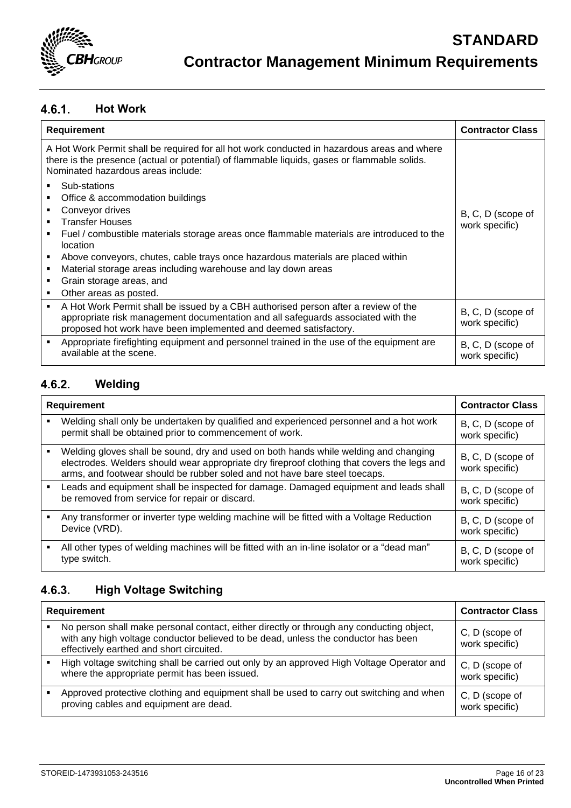

### $4.6.1.$ **Hot Work**

| <b>Requirement</b>                                                                                                                                                                                                                                                                                                                                                                                               | <b>Contractor Class</b>             |
|------------------------------------------------------------------------------------------------------------------------------------------------------------------------------------------------------------------------------------------------------------------------------------------------------------------------------------------------------------------------------------------------------------------|-------------------------------------|
| A Hot Work Permit shall be required for all hot work conducted in hazardous areas and where<br>there is the presence (actual or potential) of flammable liquids, gases or flammable solids.<br>Nominated hazardous areas include:                                                                                                                                                                                |                                     |
| Sub-stations<br>Office & accommodation buildings<br>Conveyor drives<br><b>Transfer Houses</b><br>Fuel / combustible materials storage areas once flammable materials are introduced to the<br>location<br>Above conveyors, chutes, cable trays once hazardous materials are placed within<br>Material storage areas including warehouse and lay down areas<br>Grain storage areas, and<br>Other areas as posted. | B, C, D (scope of<br>work specific) |
| A Hot Work Permit shall be issued by a CBH authorised person after a review of the<br>٠<br>appropriate risk management documentation and all safeguards associated with the<br>proposed hot work have been implemented and deemed satisfactory.                                                                                                                                                                  | B, C, D (scope of<br>work specific) |
| Appropriate firefighting equipment and personnel trained in the use of the equipment are<br>available at the scene.                                                                                                                                                                                                                                                                                              | B, C, D (scope of<br>work specific) |

### $4.6.2.$ **Welding**

| <b>Requirement</b> |                                                                                                                                                                                                                                                                   | <b>Contractor Class</b>             |
|--------------------|-------------------------------------------------------------------------------------------------------------------------------------------------------------------------------------------------------------------------------------------------------------------|-------------------------------------|
|                    | Welding shall only be undertaken by qualified and experienced personnel and a hot work<br>permit shall be obtained prior to commencement of work.                                                                                                                 | B, C, D (scope of<br>work specific) |
|                    | Welding gloves shall be sound, dry and used on both hands while welding and changing<br>electrodes. Welders should wear appropriate dry fireproof clothing that covers the legs and<br>arms, and footwear should be rubber soled and not have bare steel toecaps. | B, C, D (scope of<br>work specific) |
| ٠                  | Leads and equipment shall be inspected for damage. Damaged equipment and leads shall<br>be removed from service for repair or discard.                                                                                                                            | B, C, D (scope of<br>work specific) |
|                    | Any transformer or inverter type welding machine will be fitted with a Voltage Reduction<br>Device (VRD).                                                                                                                                                         | B, C, D (scope of<br>work specific) |
|                    | All other types of welding machines will be fitted with an in-line isolator or a "dead man"<br>type switch.                                                                                                                                                       | B, C, D (scope of<br>work specific) |

### $4.6.3.$ **High Voltage Switching**

| <b>Requirement</b> |                                                                                                                                                                                                                            | <b>Contractor Class</b>          |
|--------------------|----------------------------------------------------------------------------------------------------------------------------------------------------------------------------------------------------------------------------|----------------------------------|
|                    | No person shall make personal contact, either directly or through any conducting object,<br>with any high voltage conductor believed to be dead, unless the conductor has been<br>effectively earthed and short circuited. | C, D (scope of<br>work specific) |
|                    | High voltage switching shall be carried out only by an approved High Voltage Operator and<br>where the appropriate permit has been issued.                                                                                 | C, D (scope of<br>work specific) |
|                    | Approved protective clothing and equipment shall be used to carry out switching and when<br>proving cables and equipment are dead.                                                                                         | C, D (scope of<br>work specific) |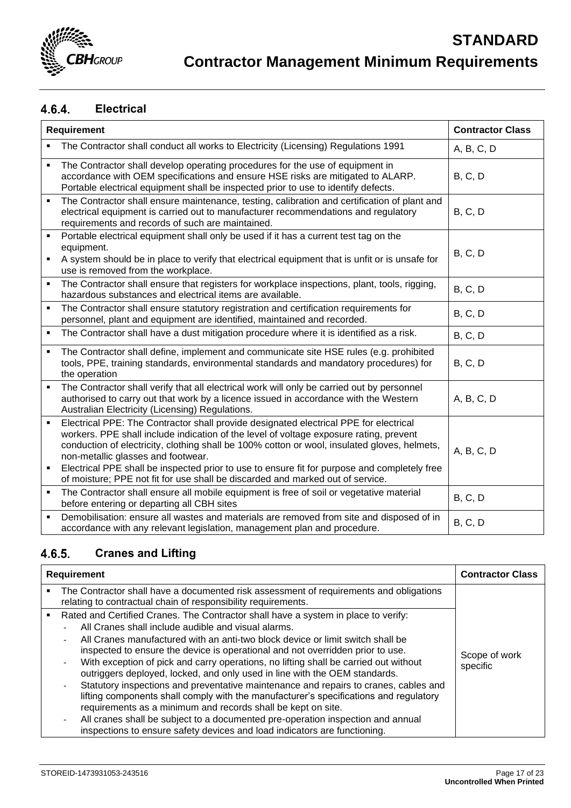

### $4.6.4.$ **Electrical**

| Requirement         |                                                                                                                                                                                                                                                                                                                                                                                                                                                                                                         | <b>Contractor Class</b> |
|---------------------|---------------------------------------------------------------------------------------------------------------------------------------------------------------------------------------------------------------------------------------------------------------------------------------------------------------------------------------------------------------------------------------------------------------------------------------------------------------------------------------------------------|-------------------------|
| $\blacksquare$      | The Contractor shall conduct all works to Electricity (Licensing) Regulations 1991                                                                                                                                                                                                                                                                                                                                                                                                                      | A, B, C, D              |
|                     | The Contractor shall develop operating procedures for the use of equipment in<br>accordance with OEM specifications and ensure HSE risks are mitigated to ALARP.<br>Portable electrical equipment shall be inspected prior to use to identify defects.                                                                                                                                                                                                                                                  | B, C, D                 |
| $\blacksquare$      | The Contractor shall ensure maintenance, testing, calibration and certification of plant and<br>electrical equipment is carried out to manufacturer recommendations and regulatory<br>requirements and records of such are maintained.                                                                                                                                                                                                                                                                  | B, C, D                 |
| ٠                   | Portable electrical equipment shall only be used if it has a current test tag on the<br>equipment.<br>A system should be in place to verify that electrical equipment that is unfit or is unsafe for<br>use is removed from the workplace.                                                                                                                                                                                                                                                              | B, C, D                 |
| $\blacksquare$      | The Contractor shall ensure that registers for workplace inspections, plant, tools, rigging,<br>hazardous substances and electrical items are available.                                                                                                                                                                                                                                                                                                                                                | B, C, D                 |
| $\blacksquare$      | The Contractor shall ensure statutory registration and certification requirements for<br>personnel, plant and equipment are identified, maintained and recorded.                                                                                                                                                                                                                                                                                                                                        | B, C, D                 |
| $\blacksquare$      | The Contractor shall have a dust mitigation procedure where it is identified as a risk.                                                                                                                                                                                                                                                                                                                                                                                                                 | B, C, D                 |
| $\blacksquare$      | The Contractor shall define, implement and communicate site HSE rules (e.g. prohibited<br>tools, PPE, training standards, environmental standards and mandatory procedures) for<br>the operation                                                                                                                                                                                                                                                                                                        | B, C, D                 |
| $\blacksquare$      | The Contractor shall verify that all electrical work will only be carried out by personnel<br>authorised to carry out that work by a licence issued in accordance with the Western<br>Australian Electricity (Licensing) Regulations.                                                                                                                                                                                                                                                                   | A, B, C, D              |
| $\blacksquare$<br>٠ | Electrical PPE: The Contractor shall provide designated electrical PPE for electrical<br>workers. PPE shall include indication of the level of voltage exposure rating, prevent<br>conduction of electricity, clothing shall be 100% cotton or wool, insulated gloves, helmets,<br>non-metallic glasses and footwear.<br>Electrical PPE shall be inspected prior to use to ensure fit for purpose and completely free<br>of moisture; PPE not fit for use shall be discarded and marked out of service. | A, B, C, D              |
| $\blacksquare$      | The Contractor shall ensure all mobile equipment is free of soil or vegetative material<br>before entering or departing all CBH sites                                                                                                                                                                                                                                                                                                                                                                   | <b>B, C, D</b>          |
| $\blacksquare$      | Demobilisation: ensure all wastes and materials are removed from site and disposed of in<br>accordance with any relevant legislation, management plan and procedure.                                                                                                                                                                                                                                                                                                                                    | <b>B, C, D</b>          |

### **Cranes and Lifting**  $4.6.5.$

| <b>Requirement</b> |                                                                                                                                                                                                                                                                                                                                                                                                                                                                                                                                                                                                                                                                                                                                                                                                                                                                                                                                  | <b>Contractor Class</b>   |
|--------------------|----------------------------------------------------------------------------------------------------------------------------------------------------------------------------------------------------------------------------------------------------------------------------------------------------------------------------------------------------------------------------------------------------------------------------------------------------------------------------------------------------------------------------------------------------------------------------------------------------------------------------------------------------------------------------------------------------------------------------------------------------------------------------------------------------------------------------------------------------------------------------------------------------------------------------------|---------------------------|
| ٠                  | The Contractor shall have a documented risk assessment of requirements and obligations<br>relating to contractual chain of responsibility requirements.                                                                                                                                                                                                                                                                                                                                                                                                                                                                                                                                                                                                                                                                                                                                                                          |                           |
| ٠                  | Rated and Certified Cranes. The Contractor shall have a system in place to verify:<br>All Cranes shall include audible and visual alarms.<br>All Cranes manufactured with an anti-two block device or limit switch shall be<br>inspected to ensure the device is operational and not overridden prior to use.<br>With exception of pick and carry operations, no lifting shall be carried out without<br>$\overline{\phantom{0}}$<br>outriggers deployed, locked, and only used in line with the OEM standards.<br>Statutory inspections and preventative maintenance and repairs to cranes, cables and<br>lifting components shall comply with the manufacturer's specifications and regulatory<br>requirements as a minimum and records shall be kept on site.<br>All cranes shall be subject to a documented pre-operation inspection and annual<br>inspections to ensure safety devices and load indicators are functioning. | Scope of work<br>specific |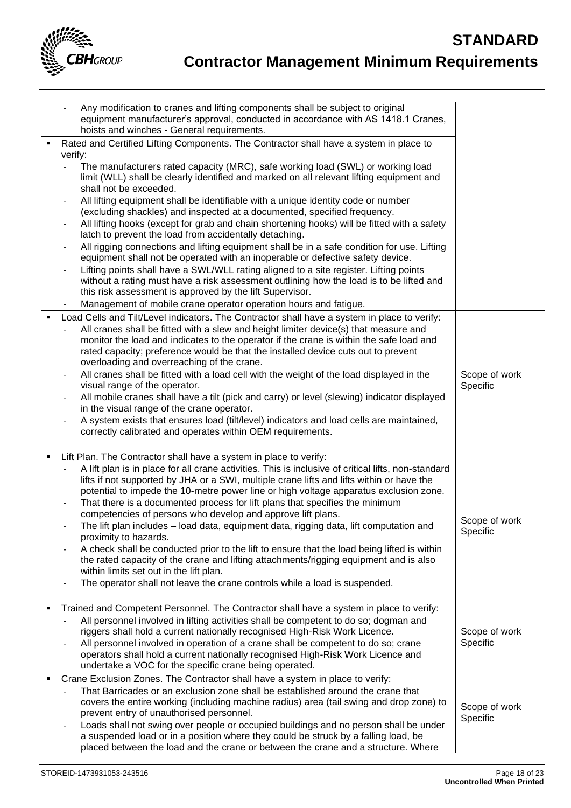

|   |                              | Any modification to cranes and lifting components shall be subject to original<br>equipment manufacturer's approval, conducted in accordance with AS 1418.1 Cranes,<br>hoists and winches - General requirements.                                                                                                                                                                                                  |                           |
|---|------------------------------|--------------------------------------------------------------------------------------------------------------------------------------------------------------------------------------------------------------------------------------------------------------------------------------------------------------------------------------------------------------------------------------------------------------------|---------------------------|
|   |                              | Rated and Certified Lifting Components. The Contractor shall have a system in place to                                                                                                                                                                                                                                                                                                                             |                           |
|   | verify:                      | The manufacturers rated capacity (MRC), safe working load (SWL) or working load<br>limit (WLL) shall be clearly identified and marked on all relevant lifting equipment and                                                                                                                                                                                                                                        |                           |
|   |                              | shall not be exceeded.<br>All lifting equipment shall be identifiable with a unique identity code or number                                                                                                                                                                                                                                                                                                        |                           |
|   |                              | (excluding shackles) and inspected at a documented, specified frequency.                                                                                                                                                                                                                                                                                                                                           |                           |
|   |                              | All lifting hooks (except for grab and chain shortening hooks) will be fitted with a safety<br>latch to prevent the load from accidentally detaching.                                                                                                                                                                                                                                                              |                           |
|   |                              | All rigging connections and lifting equipment shall be in a safe condition for use. Lifting<br>equipment shall not be operated with an inoperable or defective safety device.                                                                                                                                                                                                                                      |                           |
|   |                              | Lifting points shall have a SWL/WLL rating aligned to a site register. Lifting points<br>without a rating must have a risk assessment outlining how the load is to be lifted and                                                                                                                                                                                                                                   |                           |
|   |                              | this risk assessment is approved by the lift Supervisor.                                                                                                                                                                                                                                                                                                                                                           |                           |
|   |                              | Management of mobile crane operator operation hours and fatigue.                                                                                                                                                                                                                                                                                                                                                   |                           |
|   |                              | Load Cells and Tilt/Level indicators. The Contractor shall have a system in place to verify:<br>All cranes shall be fitted with a slew and height limiter device(s) that measure and<br>monitor the load and indicates to the operator if the crane is within the safe load and<br>rated capacity; preference would be that the installed device cuts out to prevent<br>overloading and overreaching of the crane. |                           |
|   | $\overline{\phantom{a}}$     | All cranes shall be fitted with a load cell with the weight of the load displayed in the                                                                                                                                                                                                                                                                                                                           | Scope of work             |
|   |                              | visual range of the operator.<br>All mobile cranes shall have a tilt (pick and carry) or level (slewing) indicator displayed                                                                                                                                                                                                                                                                                       | Specific                  |
|   |                              | in the visual range of the crane operator.                                                                                                                                                                                                                                                                                                                                                                         |                           |
|   |                              | A system exists that ensures load (tilt/level) indicators and load cells are maintained,<br>correctly calibrated and operates within OEM requirements.                                                                                                                                                                                                                                                             |                           |
|   |                              |                                                                                                                                                                                                                                                                                                                                                                                                                    |                           |
| ٠ |                              | Lift Plan. The Contractor shall have a system in place to verify:<br>A lift plan is in place for all crane activities. This is inclusive of critical lifts, non-standard<br>lifts if not supported by JHA or a SWI, multiple crane lifts and lifts within or have the<br>potential to impede the 10-metre power line or high voltage apparatus exclusion zone.                                                     |                           |
|   |                              | That there is a documented process for lift plans that specifies the minimum                                                                                                                                                                                                                                                                                                                                       |                           |
|   |                              | competencies of persons who develop and approve lift plans.<br>The lift plan includes - load data, equipment data, rigging data, lift computation and                                                                                                                                                                                                                                                              | Scope of work<br>Specific |
|   |                              | proximity to hazards.<br>A check shall be conducted prior to the lift to ensure that the load being lifted is within                                                                                                                                                                                                                                                                                               |                           |
|   |                              | the rated capacity of the crane and lifting attachments/rigging equipment and is also<br>within limits set out in the lift plan.                                                                                                                                                                                                                                                                                   |                           |
|   |                              | The operator shall not leave the crane controls while a load is suspended.                                                                                                                                                                                                                                                                                                                                         |                           |
|   |                              | Trained and Competent Personnel. The Contractor shall have a system in place to verify:                                                                                                                                                                                                                                                                                                                            |                           |
|   |                              | All personnel involved in lifting activities shall be competent to do so; dogman and<br>riggers shall hold a current nationally recognised High-Risk Work Licence.                                                                                                                                                                                                                                                 | Scope of work             |
|   |                              | All personnel involved in operation of a crane shall be competent to do so; crane<br>operators shall hold a current nationally recognised High-Risk Work Licence and                                                                                                                                                                                                                                               | Specific                  |
|   |                              | undertake a VOC for the specific crane being operated.<br>Crane Exclusion Zones. The Contractor shall have a system in place to verify:                                                                                                                                                                                                                                                                            |                           |
|   |                              | That Barricades or an exclusion zone shall be established around the crane that<br>covers the entire working (including machine radius) area (tail swing and drop zone) to<br>prevent entry of unauthorised personnel.                                                                                                                                                                                             | Scope of work<br>Specific |
|   | $\qquad \qquad \blacksquare$ | Loads shall not swing over people or occupied buildings and no person shall be under<br>a suspended load or in a position where they could be struck by a falling load, be<br>placed between the load and the crane or between the crane and a structure. Where                                                                                                                                                    |                           |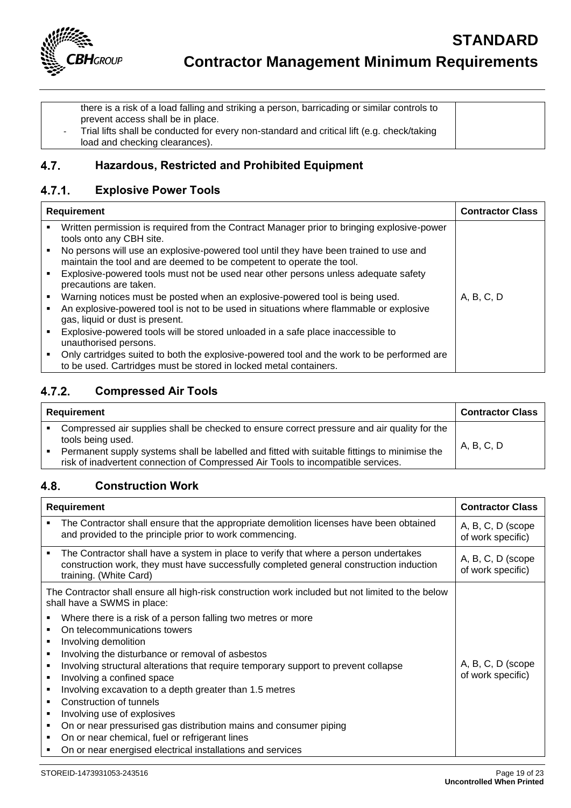

there is a risk of a load falling and striking a person, barricading or similar controls to prevent access shall be in place. - Trial lifts shall be conducted for every non-standard and critical lift (e.g. check/taking load and checking clearances).

### $4.7.$ **Hazardous, Restricted and Prohibited Equipment**

### $4.7.1.$ **Explosive Power Tools**

| <b>Requirement</b> |                                                                                                                                                                 | <b>Contractor Class</b> |
|--------------------|-----------------------------------------------------------------------------------------------------------------------------------------------------------------|-------------------------|
|                    | Written permission is required from the Contract Manager prior to bringing explosive-power<br>tools onto any CBH site.                                          |                         |
|                    | No persons will use an explosive-powered tool until they have been trained to use and<br>maintain the tool and are deemed to be competent to operate the tool.  |                         |
|                    | Explosive-powered tools must not be used near other persons unless adequate safety<br>precautions are taken.                                                    |                         |
|                    | Warning notices must be posted when an explosive-powered tool is being used.                                                                                    | A, B, C, D              |
|                    | An explosive-powered tool is not to be used in situations where flammable or explosive<br>gas, liquid or dust is present.                                       |                         |
|                    | Explosive-powered tools will be stored unloaded in a safe place inaccessible to<br>unauthorised persons.                                                        |                         |
|                    | Only cartridges suited to both the explosive-powered tool and the work to be performed are<br>to be used. Cartridges must be stored in locked metal containers. |                         |

### $4.7.2.$ **Compressed Air Tools**

| Requirement |                                                                                                                                                                                                                                                                                                      | <b>Contractor Class</b> |
|-------------|------------------------------------------------------------------------------------------------------------------------------------------------------------------------------------------------------------------------------------------------------------------------------------------------------|-------------------------|
|             | Compressed air supplies shall be checked to ensure correct pressure and air quality for the<br>tools being used.<br>Permanent supply systems shall be labelled and fitted with suitable fittings to minimise the<br>risk of inadvertent connection of Compressed Air Tools to incompatible services. | A, B, C, D              |

### **Construction Work** 4.8.

| Requirement                                                                                                                                                                                                                                                                                                                                                                                                                                                                                                                                                                                                  | <b>Contractor Class</b>                 |
|--------------------------------------------------------------------------------------------------------------------------------------------------------------------------------------------------------------------------------------------------------------------------------------------------------------------------------------------------------------------------------------------------------------------------------------------------------------------------------------------------------------------------------------------------------------------------------------------------------------|-----------------------------------------|
| The Contractor shall ensure that the appropriate demolition licenses have been obtained<br>and provided to the principle prior to work commencing.                                                                                                                                                                                                                                                                                                                                                                                                                                                           | A, B, C, D (scope<br>of work specific)  |
| The Contractor shall have a system in place to verify that where a person undertakes<br>construction work, they must have successfully completed general construction induction<br>training. (White Card)                                                                                                                                                                                                                                                                                                                                                                                                    | A, B, C, D (scope)<br>of work specific) |
| The Contractor shall ensure all high-risk construction work included but not limited to the below<br>shall have a SWMS in place:                                                                                                                                                                                                                                                                                                                                                                                                                                                                             |                                         |
| Where there is a risk of a person falling two metres or more<br>On telecommunications towers<br>Involving demolition<br>Involving the disturbance or removal of asbestos<br>Involving structural alterations that require temporary support to prevent collapse<br>Involving a confined space<br>Involving excavation to a depth greater than 1.5 metres<br>Construction of tunnels<br>Involving use of explosives<br>On or near pressurised gas distribution mains and consumer piping<br>٠<br>On or near chemical, fuel or refrigerant lines<br>On or near energised electrical installations and services | A, B, C, D (scope)<br>of work specific) |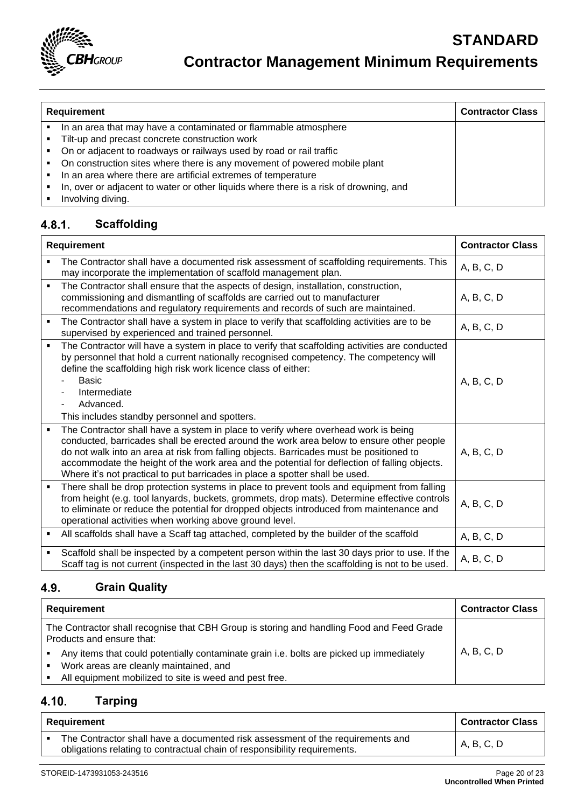

### **Requirement Contractor Class ·** In an area that may have a contaminated or flammable atmosphere ▪ Tilt-up and precast concrete construction work ▪ On or adjacent to roadways or railways used by road or rail traffic ■ On construction sites where there is any movement of powered mobile plant ▪ In an area where there are artificial extremes of temperature ▪ In, over or adjacent to water or other liquids where there is a risk of drowning, and

**■** Involving diving.

### $4.8.1.$ **Scaffolding**

| <b>Requirement</b> |                                                                                                                                                                                                                                                                                                                                                                                                                                                           | <b>Contractor Class</b> |
|--------------------|-----------------------------------------------------------------------------------------------------------------------------------------------------------------------------------------------------------------------------------------------------------------------------------------------------------------------------------------------------------------------------------------------------------------------------------------------------------|-------------------------|
|                    | The Contractor shall have a documented risk assessment of scaffolding requirements. This<br>may incorporate the implementation of scaffold management plan.                                                                                                                                                                                                                                                                                               | A, B, C, D              |
| ٠                  | The Contractor shall ensure that the aspects of design, installation, construction,<br>commissioning and dismantling of scaffolds are carried out to manufacturer<br>recommendations and regulatory requirements and records of such are maintained.                                                                                                                                                                                                      | A, B, C, D              |
| ٠                  | The Contractor shall have a system in place to verify that scaffolding activities are to be<br>supervised by experienced and trained personnel.                                                                                                                                                                                                                                                                                                           | A, B, C, D              |
| $\blacksquare$     | The Contractor will have a system in place to verify that scaffolding activities are conducted<br>by personnel that hold a current nationally recognised competency. The competency will<br>define the scaffolding high risk work licence class of either:<br>Basic<br>Intermediate<br>Advanced.<br>This includes standby personnel and spotters.                                                                                                         | A, B, C, D              |
| $\blacksquare$     | The Contractor shall have a system in place to verify where overhead work is being<br>conducted, barricades shall be erected around the work area below to ensure other people<br>do not walk into an area at risk from falling objects. Barricades must be positioned to<br>accommodate the height of the work area and the potential for deflection of falling objects.<br>Where it's not practical to put barricades in place a spotter shall be used. | A, B, C, D              |
| ٠                  | There shall be drop protection systems in place to prevent tools and equipment from falling<br>from height (e.g. tool lanyards, buckets, grommets, drop mats). Determine effective controls<br>to eliminate or reduce the potential for dropped objects introduced from maintenance and<br>operational activities when working above ground level.                                                                                                        | A, B, C, D              |
| ٠                  | All scaffolds shall have a Scaff tag attached, completed by the builder of the scaffold                                                                                                                                                                                                                                                                                                                                                                   | A, B, C, D              |
| ٠                  | Scaffold shall be inspected by a competent person within the last 30 days prior to use. If the<br>Scaff tag is not current (inspected in the last 30 days) then the scaffolding is not to be used.                                                                                                                                                                                                                                                        | A, B, C, D              |

### **Grain Quality** 4.9.

| Requirement                                                                                                                                                           | <b>Contractor Class</b> |
|-----------------------------------------------------------------------------------------------------------------------------------------------------------------------|-------------------------|
| The Contractor shall recognise that CBH Group is storing and handling Food and Feed Grade<br>Products and ensure that:                                                |                         |
| Any items that could potentially contaminate grain i.e. bolts are picked up immediately<br>$\blacksquare$<br>Work areas are cleanly maintained, and<br>$\blacksquare$ | A, B, C, D              |
| All equipment mobilized to site is weed and pest free.                                                                                                                |                         |

### $4.10.$ **Tarping**

| Requirement                                                                                                                                                 | Contractor Class |
|-------------------------------------------------------------------------------------------------------------------------------------------------------------|------------------|
| The Contractor shall have a documented risk assessment of the requirements and<br>obligations relating to contractual chain of responsibility requirements. | A, B, C, D       |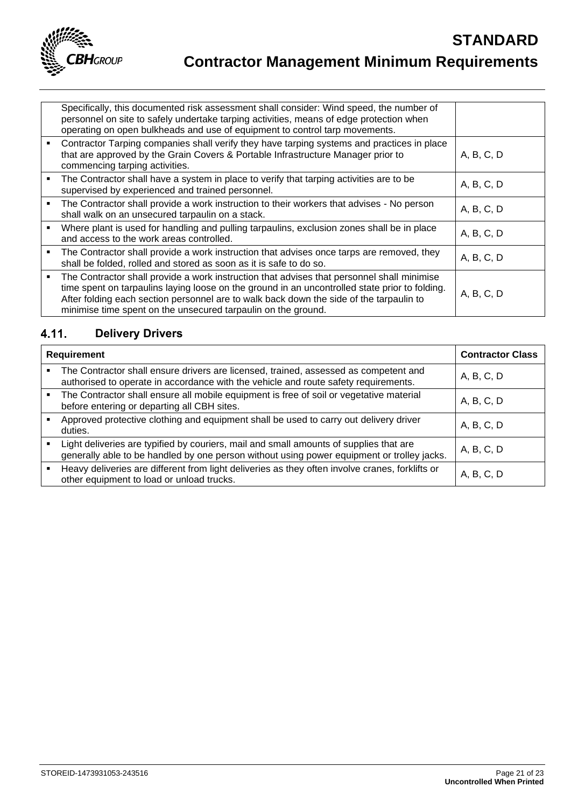

| Specifically, this documented risk assessment shall consider: Wind speed, the number of<br>personnel on site to safely undertake tarping activities, means of edge protection when<br>operating on open bulkheads and use of equipment to control tarp movements.                                                                                        |            |
|----------------------------------------------------------------------------------------------------------------------------------------------------------------------------------------------------------------------------------------------------------------------------------------------------------------------------------------------------------|------------|
| Contractor Tarping companies shall verify they have tarping systems and practices in place<br>that are approved by the Grain Covers & Portable Infrastructure Manager prior to<br>commencing tarping activities.                                                                                                                                         | A, B, C, D |
| The Contractor shall have a system in place to verify that tarping activities are to be<br>supervised by experienced and trained personnel.                                                                                                                                                                                                              | A, B, C, D |
| The Contractor shall provide a work instruction to their workers that advises - No person<br>shall walk on an unsecured tarpaulin on a stack.                                                                                                                                                                                                            | A, B, C, D |
| Where plant is used for handling and pulling tarpaulins, exclusion zones shall be in place<br>and access to the work areas controlled.                                                                                                                                                                                                                   | A, B, C, D |
| The Contractor shall provide a work instruction that advises once tarps are removed, they<br>shall be folded, rolled and stored as soon as it is safe to do so.                                                                                                                                                                                          | A, B, C, D |
| The Contractor shall provide a work instruction that advises that personnel shall minimise<br>time spent on tarpaulins laying loose on the ground in an uncontrolled state prior to folding.<br>After folding each section personnel are to walk back down the side of the tarpaulin to<br>minimise time spent on the unsecured tarpaulin on the ground. | A, B, C, D |

### $4.11.$ **Delivery Drivers**

| Requirement | <b>Contractor Class</b>                                                                                                                                                              |            |
|-------------|--------------------------------------------------------------------------------------------------------------------------------------------------------------------------------------|------------|
|             | The Contractor shall ensure drivers are licensed, trained, assessed as competent and<br>authorised to operate in accordance with the vehicle and route safety requirements.          | A, B, C, D |
|             | The Contractor shall ensure all mobile equipment is free of soil or vegetative material<br>before entering or departing all CBH sites.                                               | A, B, C, D |
|             | Approved protective clothing and equipment shall be used to carry out delivery driver<br>duties.                                                                                     | A, B, C, D |
|             | Light deliveries are typified by couriers, mail and small amounts of supplies that are<br>generally able to be handled by one person without using power equipment or trolley jacks. | A, B, C, D |
|             | Heavy deliveries are different from light deliveries as they often involve cranes, forklifts or<br>other equipment to load or unload trucks.                                         | A, B, C, D |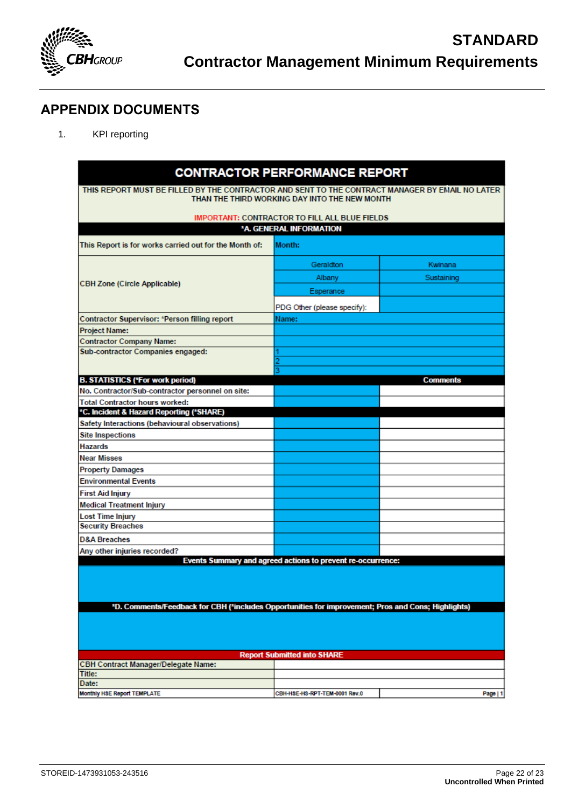

## <span id="page-21-0"></span>**APPENDIX DOCUMENTS**

1. KPI reporting

|                                                                                                                                                                   | <b>CONTRACTOR PERFORMANCE REPORT</b>                 |                 |  |
|-------------------------------------------------------------------------------------------------------------------------------------------------------------------|------------------------------------------------------|-----------------|--|
| THIS REPORT MUST BE FILLED BY THE CONTRACTOR AND SENT TO THE CONTRACT MANAGER BY EMAIL NO LATER.<br>THAN THE THIRD WORKING DAY INTO THE NEW MONTH                 |                                                      |                 |  |
|                                                                                                                                                                   | <b>IMPORTANT: CONTRACTOR TO FILL ALL BLUE FIELDS</b> |                 |  |
|                                                                                                                                                                   | *A. GENERAL INFORMATION                              |                 |  |
| This Report is for works carried out for the Month of:                                                                                                            | Month:                                               |                 |  |
|                                                                                                                                                                   |                                                      |                 |  |
|                                                                                                                                                                   | Geraldton                                            | Kwinana         |  |
|                                                                                                                                                                   | Albany                                               | Sustaining      |  |
| <b>CBH Zone (Circle Applicable)</b>                                                                                                                               | Esperance                                            |                 |  |
|                                                                                                                                                                   | PDG Other (please specify):                          |                 |  |
| Contractor Supervisor: *Person filling report                                                                                                                     | Name:                                                |                 |  |
| Project Name:                                                                                                                                                     |                                                      |                 |  |
| <b>Contractor Company Name:</b>                                                                                                                                   |                                                      |                 |  |
| Sub-contractor Companies engaged:                                                                                                                                 |                                                      |                 |  |
|                                                                                                                                                                   |                                                      |                 |  |
| <b>B. STATISTICS (*For work period)</b>                                                                                                                           |                                                      | <b>Comments</b> |  |
| No. Contractor/Sub-contractor personnel on site:                                                                                                                  |                                                      |                 |  |
| <b>Total Contractor hours worked:</b>                                                                                                                             |                                                      |                 |  |
| *C. Incident & Hazard Reporting (*SHARE)                                                                                                                          |                                                      |                 |  |
| Safety Interactions (behavioural observations)                                                                                                                    |                                                      |                 |  |
| <b>Site Inspections</b>                                                                                                                                           |                                                      |                 |  |
| Hazards                                                                                                                                                           |                                                      |                 |  |
| Near Misses                                                                                                                                                       |                                                      |                 |  |
| <b>Property Damages</b>                                                                                                                                           |                                                      |                 |  |
| <b>Environmental Events</b>                                                                                                                                       |                                                      |                 |  |
| <b>First Aid Injury</b>                                                                                                                                           |                                                      |                 |  |
| <b>Medical Treatment Injury</b>                                                                                                                                   |                                                      |                 |  |
| Lost Time Injury                                                                                                                                                  |                                                      |                 |  |
| <b>Security Breaches</b>                                                                                                                                          |                                                      |                 |  |
| <b>D&amp;A Breaches</b>                                                                                                                                           |                                                      |                 |  |
| Any other injuries recorded?                                                                                                                                      |                                                      |                 |  |
| Events Summary and agreed actions to prevent re-occurrence:<br>*D. Comments/Feedback for CBH (*includes Opportunities for improvement; Pros and Cons; Highlights) |                                                      |                 |  |
|                                                                                                                                                                   |                                                      |                 |  |
| <b>Report Submitted into SHARE</b>                                                                                                                                |                                                      |                 |  |
| <b>CBH Contract Manager/Delegate Name:</b><br>Title:                                                                                                              |                                                      |                 |  |
| Date:                                                                                                                                                             |                                                      |                 |  |
| Monthly HSF Renort TEMPLATE                                                                                                                                       | CRHJHSFJHSJRDTJTFMJ0001 Rov 0                        | Page 11         |  |